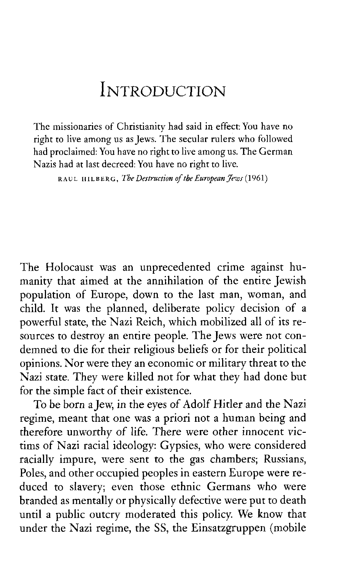## INTRODUCTION

The missionaries of Christianity had said in effect: You have no **right to live among us as Jews. The secular rulers who followed had proclaimed: You have no right to live among us. The German Nazis had at last decreed: You have no right to live.**

r a u l h i l b e r g **,** *T he D estruction o f the European J e w s* **(**1961**)**

The Holocaust was an unprecedented crime against humanity that aimed at the annihilation of the entire Jewish population of Europe, down to the last man, woman, and child. It was the planned, deliberate policy decision of a powerful state, the Nazi Reich, which mobilized all of its resources to destroy an entire people. The Jews were not condemned to die for their religious beliefs or for their political opinions. Nor were they an economic or military threat to the Nazi state. They were killed not for what they had done but for the simple fact of their existence.

To be born a Jew, in the eyes of Adolf Hitler and the Nazi regime, meant that one was a priori not a human being and therefore unworthy of life. There were other innocent victims of Nazi racial ideology: Gypsies, who were considered racially impure, were sent to the gas chambers; Russians, Poles, and other occupied peoples in eastern Europe were reduced to slavery; even those ethnic Germans who were branded as mentally or physically defective were put to death until a public outcry moderated this policy. We know that under the Nazi regime, the SS, the Einsatzgruppen (mobile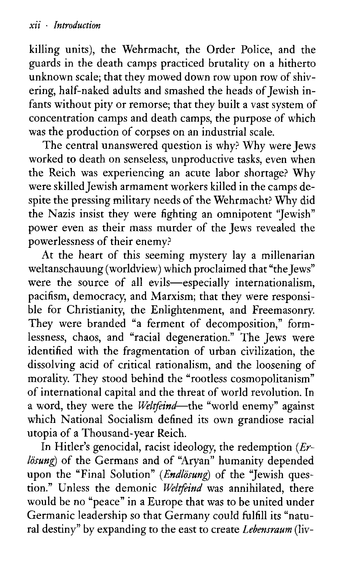killing units), the Wehrmacht, the Order Police, and the guards in the death camps practiced brutality on a hitherto unknown scale; that they mowed down row upon row of shivering, half-naked adults and smashed the heads of Jewish infants without pity or remorse; that they built a vast system of concentration camps and death camps, the purpose of which was the production of corpses on an industrial scale.

The central unanswered question is why? Why were Jews worked to death on senseless, unproductive tasks, even when the Reich was experiencing an acute labor shortage? Why were skilled Jewish armament workers killed in the camps despite the pressing military needs of the Wehrmacht? Why did the Nazis insist they were fighting an omnipotent "Jewish" power even as their mass murder of the Jews revealed the powerlessness of their enemy?

At the heart of this seeming mystery lay a millenarian Weltanschauung (worldview) which proclaimed that "theJews" were the source of all evils— especially internationalism, pacifism, democracy, and Marxism; that they were responsible for Christianity, the Enlightenment, and Freemasonry. They were branded "a ferment of decomposition," formlessness, chaos, and "racial degeneration." The Jews were identified with the fragmentation of urban civilization, the dissolving acid of critical rationalism, and the loosening of morality. They stood behind the "rootless cosmopolitanism" of international capital and the threat of world revolution. In a word, they were the *Weltfeind*—the "world enemy" against which National Socialism defined its own grandiose racial utopia of a Thousand-year Reich.

In Hitler's genocidal, racist ideology, the redemption (Er*lösung)* of the Germans and of "Aryan" humanity depended upon the "Final Solution" *{Endlösung* of the "Jewish question." Unless the demonic *Weltfeind* was annihilated, there would be no "peace" in a Europe that was to be united under Germanic leadership so that Germany could fulfill its "natural destiny" by expanding to the east to create *Lebensraum* (liv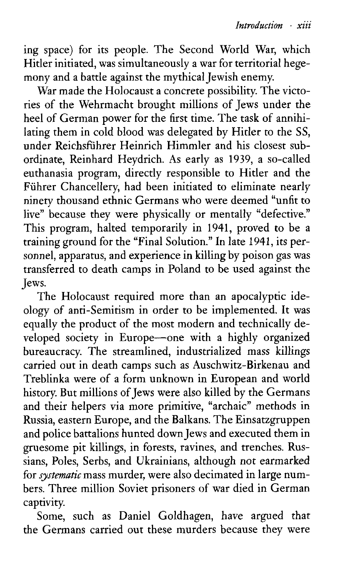ing space) for its people. The Second World War, which Hitler initiated, was simultaneously a war for territorial hegemony and a battle against the mythical Jewish enemy.

War made the Holocaust a concrete possibility. The victories of the Wehrmacht brought millions of Jews under the heel of German power for the first time. The task of annihilating them in cold blood was delegated by Hitler to the SS, under Reichsführer Heinrich Himmler and his closest subordinate, Reinhard Heydrich. As early as 1939, a so-called euthanasia program, directly responsible to Hitler and the Führer Chancellery, had been initiated to eliminate nearly ninety thousand ethnic Germans who were deemed "unfit to live" because they were physically or mentally "defective." This program, halted temporarily in 1941, proved to be a training ground for the "Final Solution." In late 1941, its personnel, apparatus, and experience in killing by poison gas was transferred to death camps in Poland to be used against the Jews.

The Holocaust required more than an apocalyptic ideology of anti-Semitism in order to be implemented. It was equally the product of the most modern and technically developed society in Europe— one with a highly organized bureaucracy. The streamlined, industrialized mass killings carried out in death camps such as Auschwitz-Birkenau and Treblinka were of a form unknown in European and world history. But millions of Jews were also killed by the Germans and their helpers via more primitive, "archaic" methods in Russia, eastern Europe, and the Balkans. The Einsatzgruppen and police battalions hunted down Jews and executed them in gruesome pit killings, in forests, ravines, and trenches. Russians, Poles, Serbs, and Ukrainians, although not earmarked for *system atic* mass murder, were also decimated in large numbers. Three million Soviet prisoners of war died in German captivity.

Some, such as Daniel Goldhagen, have argued that the Germans carried out these murders because they were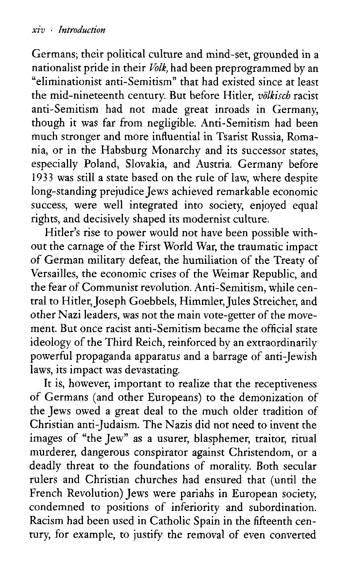Germans; their political culture and mind-set, grounded in a nationalist pride in their *Volk*, had been preprogrammed by an "eliminationist anti-Semitism" that had existed since at least the mid-nineteenth century. But before Hitler, *völkisch* racist anti-Semitism had not made great inroads in Germany, though it was far from negligible. Anti-Semitism had been much stronger and more influential in Tsarist Russia, Romania, or in the Habsburg Monarchy and its successor states, especially Poland, Slovakia, and Austria. Germany before 1933 was still a state based on the rule of law, where despite long-standing prejudice Jews achieved remarkable economic success, were well integrated into society, enjoyed equal rights, and decisively shaped its modernist culture.

Hitler's rise to power would not have been possible without the carnage of the First World War, the traumatic impact of German military defeat, the humiliation of the Treaty of Versailles, the economic crises of the Weimar Republic, and the fear of Communist revolution. Anti-Semitism, while central to Hitler, Joseph Goebbels, Himmler, Jules Streicher, and other Nazi leaders, was not the main vote-getter of the movement. But once racist anti-Semitism became the official state ideology of the Third Reich, reinforced by an extraordinarily powerful propaganda apparatus and a barrage of anti-Jewish laws, its impact was devastating.

It is, however, important to realize that the receptiveness of Germans (and other Europeans) to the demonization of the Jews owed a great deal to the much older tradition of Christian anti-Judaism. The Nazis did not need to invent the images of "the Jew" as a usurer, blasphemer, traitor, ritual murderer, dangerous conspirator against Christendom, or a deadly threat to the foundations of morality. Both secular rulers and Christian churches had ensured that (until the French Revolution) Jews were pariahs in European society, condemned to positions of inferiority and subordination. Racism had been used in Catholic Spain in the fifteenth century, for example, to justify the removal of even converted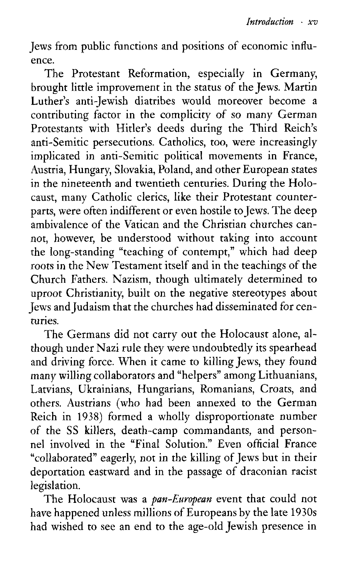Jews from public functions and positions of economic influence.

The Protestant Reformation, especially in Germany, brought little improvement in the status of the Jews. Martin Luther's anti-Jewish diatribes would moreover become a contributing factor in the complicity of so many German Protestants with Hitler's deeds during the Third Reich's anti-Semitic persecutions. Catholics, too, were increasingly implicated in anti-Semitic political movements in France, Austria, Hungary, Slovakia, Poland, and other European states in the nineteenth and twentieth centuries. During the Holocaust, many Catholic clerics, like their Protestant counterparts, were often indifferent or even hostile to Jews. The deep ambivalence of the Vatican and the Christian churches cannot, however, be understood without taking into account the long-standing "teaching of contempt," which had deep roots in the New Testament itself and in the teachings of the Church Fathers. Nazism, though ultimately determined to uproot Christianity, built on the negative stereotypes about Jews and Judaism that the churches had disseminated for centuries.

The Germans did not carry out the Holocaust alone, although under Nazi rule they were undoubtedly its spearhead and driving force. When it came to killing Jews, they found many willing collaborators and "helpers" among Lithuanians, Latvians, Ukrainians, Hungarians, Romanians, Croats, and others. Austrians (who had been annexed to the German Reich in 1938) formed a wholly disproportionate number of the SS killers, death-camp commandants, and personnel involved in the "Final Solution." Even official France "collaborated" eagerly, not in the killing of Jews but in their deportation eastward and in the passage of draconian racist legislation.

The Holocaust was a *pan-European* event that could not have happened unless millions of Europeans by the late 1930s had wished to see an end to the age-old Jewish presence in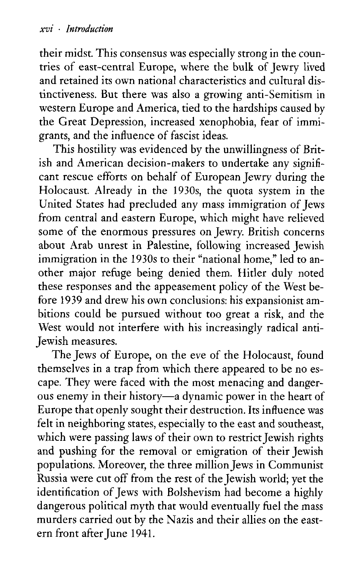their midst. This consensus was especially strong in the countries of east-central Europe, where the bulk of Jewry lived and retained its own national characteristics and cultural distinctiveness. But there was also a growing anti-Semitism in western Europe and America, tied to the hardships caused by the Great Depression, increased xenophobia, fear of immigrants, and the influence of fascist ideas.

This hostility was evidenced by the unwillingness of British and American decision-makers to undertake any significant rescue efforts on behalf of European Jewry during the Holocaust. Already in the 1930s, the quota system in the United States had precluded any mass immigration of Jews from central and eastern Europe, which might have relieved some of the enormous pressures on Jewry. British concerns about Arab unrest in Palestine, following increased Jewish immigration in the 1930s to their "national home," led to another major refuge being denied them. Hitler duly noted these responses and the appeasement policy of the West before 1939 and drew his own conclusions: his expansionist ambitions could be pursued without too great a risk, and the West would not interfere with his increasingly radical anti-Jewish measures.

The Jews of Europe, on the eve of the Holocaust, found themselves in a trap from which there appeared to be no escape. They were faced with the most menacing and dangerous enemy in their history— a dynamic power in the heart of Europe that openly sought their destruction. Its influence was felt in neighboring states, especially to the east and southeast, which were passing laws of their own to restrict Jewish rights and pushing for the removal or emigration of their Jewish populations. Moreover, the three million Jews in Communist Russia were cut off from the rest of the Jewish world; yet the identification of Jews with Bolshevism had become a highly dangerous political myth that would eventually fuel the mass murders carried out by the Nazis and their allies on the eastern front after June 1941.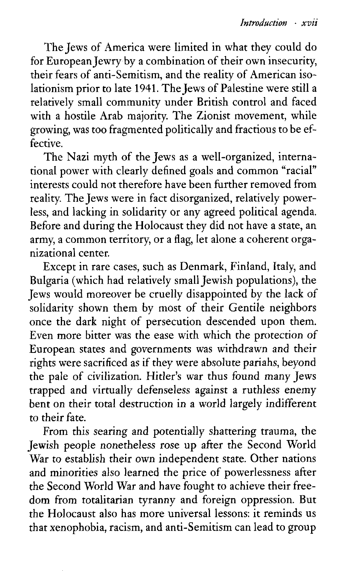The Jews of America were limited in what they could do for European Jewry by a combination of their own insecurity, their fears of anti-Semitism, and the reality of American isolationism prior to late 1941. The Jews of Palestine were still a relatively small community under British control and faced with a hostile Arab majority. The Zionist movement, while growing, was too fragmented politically and fractious to be effective.

The Nazi myth of the Jews as a well-organized, international power with clearly defined goals and common "racial" interests could not therefore have been further removed from reality. The Jews were in fact disorganized, relatively powerless, and lacking in solidarity or any agreed political agenda. Before and during the Holocaust they did not have a state, an army, a common territory, or a flag, let alone a coherent organizational center.

Except in rare cases, such as Denmark, Finland, Italy, and Bulgaria (which had relatively small Jewish populations), the Jews would moreover be cruelly disappointed by the lack of solidarity shown them by most of their Gentile neighbors once the dark night of persecution descended upon them. Even more bitter was the ease with which the protection of European states and governments was withdrawn and their rights were sacrificed as if they were absolute pariahs, beyond the pale of civilization. Hitler's war thus found many Jews trapped and virtually defenseless against a ruthless enemy bent on their total destruction in a world largely indifferent to their fate.

From this searing and potentially shattering trauma, the Jewish people nonetheless rose up after the Second World War to establish their own independent state. Other nations and minorities also learned the price of powerlessness after the Second World War and have fought to achieve their freedom from totalitarian tyranny and foreign oppression. But the Holocaust also has more universal lessons: it reminds us that xenophobia, racism, and anti-Semitism can lead to group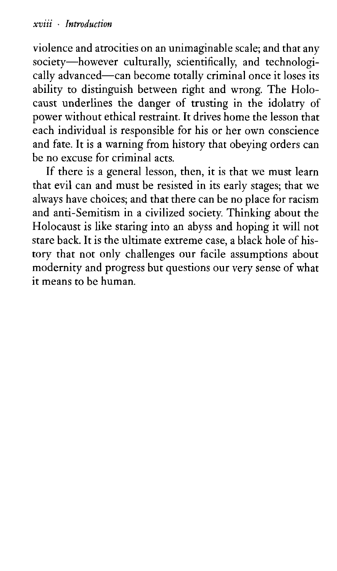violence and atrocities on an unimaginable scale; and that any society-however culturally, scientifically, and technologically advanced— can become totally criminal once it loses its ability to distinguish between right and wrong. The Holocaust underlines the danger of trusting in the idolatry of power without ethical restraint. It drives home the lesson that each individual is responsible for his or her own conscience and fate. It is a warning from history that obeying orders can be no excuse for criminal acts.

If there is a general lesson, then, it is that we must learn that evil can and must be resisted in its early stages; that we always have choices; and that there can be no place for racism and anti-Semitism in a civilized society. Thinking about the Holocaust is like staring into an abyss and hoping it will not stare back. It is the ultim ate extreme case, a black hole of history that not only challenges our facile assumptions about modernity and progress but questions our very sense of what it means to be human.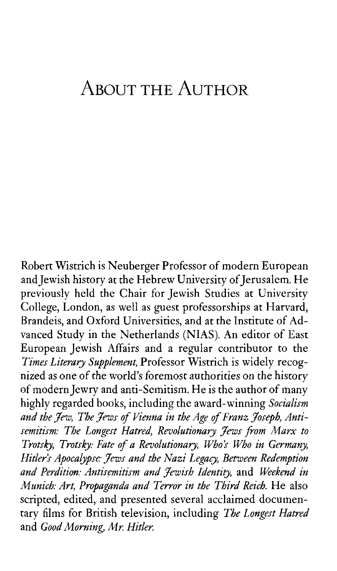## A BOUT THE AUTHOR

Robert Wistrich is Neuberger Professor of modern European and Jewish history at the Hebrew University of Jerusalem. He previously held the Chair for Jewish Studies at University College, London, as well as guest professorships at Harvard, Brandeis, and Oxford Universities, and at the Institute of Advanced Study in the Netherlands (NIAS). An editor of East European Jewish Affairs and a regular contributor to the **Times Literary Supplement, Professor Wistrich is widely recog**nized as one of the world's foremost authorities on the history of modern Jewry and anti-Semitism. He is the author of many highly regarded books, including the award-winning *Socialism and the Jew, The Jews of Vienna in the Age of Franz Joseph, Antisemitism: The Longest Hatred, Revolutionary Jews from Marx to Trotsky, Trotsky: Fate of a Revolutionary, Who's Who in Germany, Hitlers Apocalypse: Jews and the Nazi Legacy, Between Redemption and Perdition: Antisemitism and Jewish Identity,* and *Weekend in Munich: Art, Propaganda and Terror in the Third Reich.* He also scripted, edited, and presented several acclaimed documentary films for British television, including *The Longest Hatred* and *Good Morning, Mr. Hitler.*